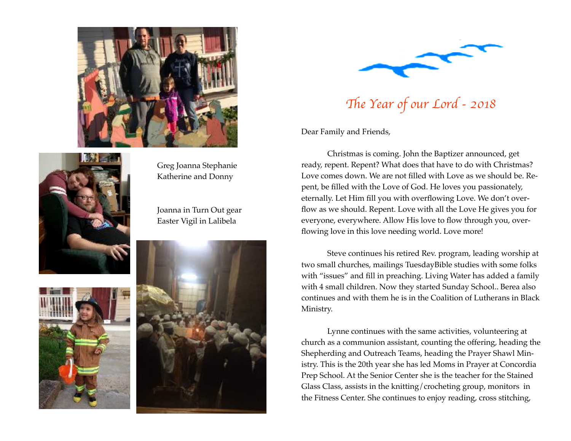



Greg Joanna Stephanie Katherine and Donny

Joanna in Turn Out gear Easter Vigil in Lalibela







Th*e Year of our Lord - 2018*

Dear Family and Friends,

Christmas is coming. John the Baptizer announced, get ready, repent. Repent? What does that have to do with Christmas? Love comes down. We are not filled with Love as we should be. Repent, be filled with the Love of God. He loves you passionately, eternally. Let Him fill you with overflowing Love. We don't overflow as we should. Repent. Love with all the Love He gives you for everyone, everywhere. Allow His love to flow through you, overflowing love in this love needing world. Love more!

Steve continues his retired Rev. program, leading worship at two small churches, mailings TuesdayBible studies with some folks with "issues" and fill in preaching. Living Water has added a family with 4 small children. Now they started Sunday School.. Berea also continues and with them he is in the Coalition of Lutherans in Black Ministry.

Lynne continues with the same activities, volunteering at church as a communion assistant, counting the offering, heading the Shepherding and Outreach Teams, heading the Prayer Shawl Ministry. This is the 20th year she has led Moms in Prayer at Concordia Prep School. At the Senior Center she is the teacher for the Stained Glass Class, assists in the knitting/crocheting group, monitors in the Fitness Center. She continues to enjoy reading, cross stitching,